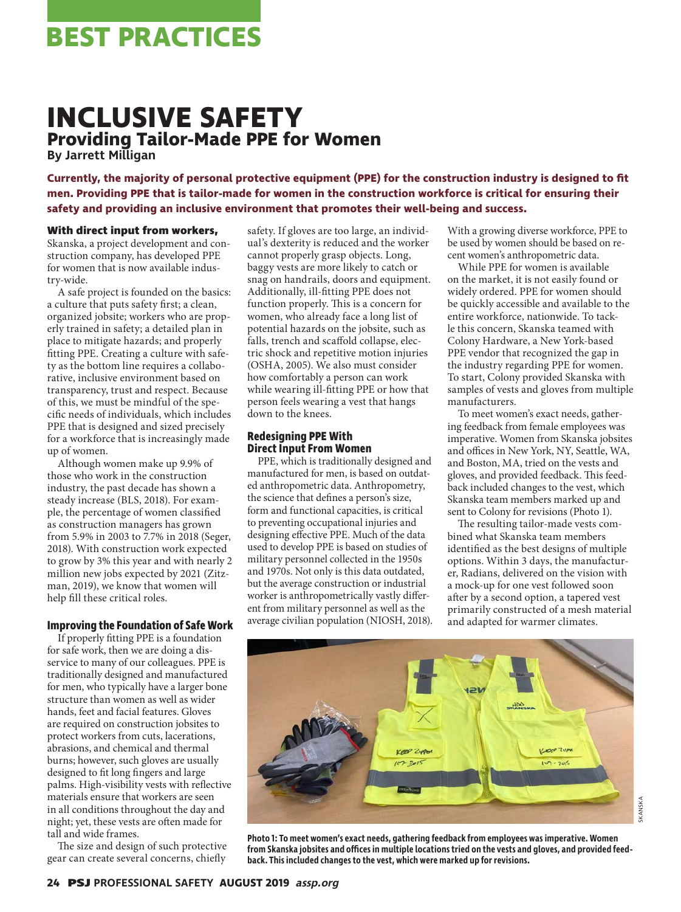# **BEST PRACTICES**

## **INCLUSIVE SAFETY Providing Tailor-Made PPE for Women**

**By Jarrett Milligan**

**Currently, the majority of personal protective equipment (PPE) for the construction industry is designed to fit men. Providing PPE that is tailor-made for women in the construction workforce is critical for ensuring their safety and providing an inclusive environment that promotes their well-being and success.**

#### **With direct input from workers,**

Skanska, a project development and construction company, has developed PPE for women that is now available industry-wide.

A safe project is founded on the basics: a culture that puts safety first; a clean, organized jobsite; workers who are properly trained in safety; a detailed plan in place to mitigate hazards; and properly fitting PPE. Creating a culture with safety as the bottom line requires a collaborative, inclusive environment based on transparency, trust and respect. Because of this, we must be mindful of the specific needs of individuals, which includes PPE that is designed and sized precisely for a workforce that is increasingly made up of women.

Although women make up 9.9% of those who work in the construction industry, the past decade has shown a steady increase (BLS, 2018). For example, the percentage of women classified as construction managers has grown from 5.9% in 2003 to 7.7% in 2018 (Seger, 2018). With construction work expected to grow by 3% this year and with nearly 2 million new jobs expected by 2021 (Zitzman, 2019), we know that women will help fill these critical roles.

### **Improving the Foundation of Safe Work**

If properly fitting PPE is a foundation for safe work, then we are doing a disservice to many of our colleagues. PPE is traditionally designed and manufactured for men, who typically have a larger bone structure than women as well as wider hands, feet and facial features. Gloves are required on construction jobsites to protect workers from cuts, lacerations, abrasions, and chemical and thermal burns; however, such gloves are usually designed to fit long fingers and large palms. High-visibility vests with reflective materials ensure that workers are seen in all conditions throughout the day and night; yet, these vests are often made for tall and wide frames.

The size and design of such protective gear can create several concerns, chiefly

safety. If gloves are too large, an individual's dexterity is reduced and the worker cannot properly grasp objects. Long, baggy vests are more likely to catch or snag on handrails, doors and equipment. Additionally, ill-fitting PPE does not function properly. This is a concern for women, who already face a long list of potential hazards on the jobsite, such as falls, trench and scaffold collapse, electric shock and repetitive motion injuries (OSHA, 2005). We also must consider how comfortably a person can work while wearing ill-fitting PPE or how that person feels wearing a vest that hangs down to the knees.

#### **Redesigning PPE With Direct Input From Women**

PPE, which is traditionally designed and manufactured for men, is based on outdated anthropometric data. Anthropometry, the science that defines a person's size, form and functional capacities, is critical to preventing occupational injuries and designing effective PPE. Much of the data used to develop PPE is based on studies of military personnel collected in the 1950s and 1970s. Not only is this data outdated, but the average construction or industrial worker is anthropometrically vastly different from military personnel as well as the average civilian population (NIOSH, 2018). With a growing diverse workforce, PPE to be used by women should be based on recent women's anthropometric data.

While PPE for women is available on the market, it is not easily found or widely ordered. PPE for women should be quickly accessible and available to the entire workforce, nationwide. To tackle this concern, Skanska teamed with Colony Hardware, a New York-based PPE vendor that recognized the gap in the industry regarding PPE for women. To start, Colony provided Skanska with samples of vests and gloves from multiple manufacturers.

To meet women's exact needs, gathering feedback from female employees was imperative. Women from Skanska jobsites and offices in New York, NY, Seattle, WA, and Boston, MA, tried on the vests and gloves, and provided feedback. This feedback included changes to the vest, which Skanska team members marked up and sent to Colony for revisions (Photo 1).

The resulting tailor-made vests combined what Skanska team members identified as the best designs of multiple options. Within 3 days, the manufacturer, Radians, delivered on the vision with a mock-up for one vest followed soon after by a second option, a tapered vest primarily constructed of a mesh material and adapted for warmer climates.



**Photo 1: To meet women's exact needs, gathering feedback from employees was imperative. Women from Skanska jobsites and offices in multiple locations tried on the vests and gloves, and provided feedback. This included changes to the vest, which were marked up for revisions.**